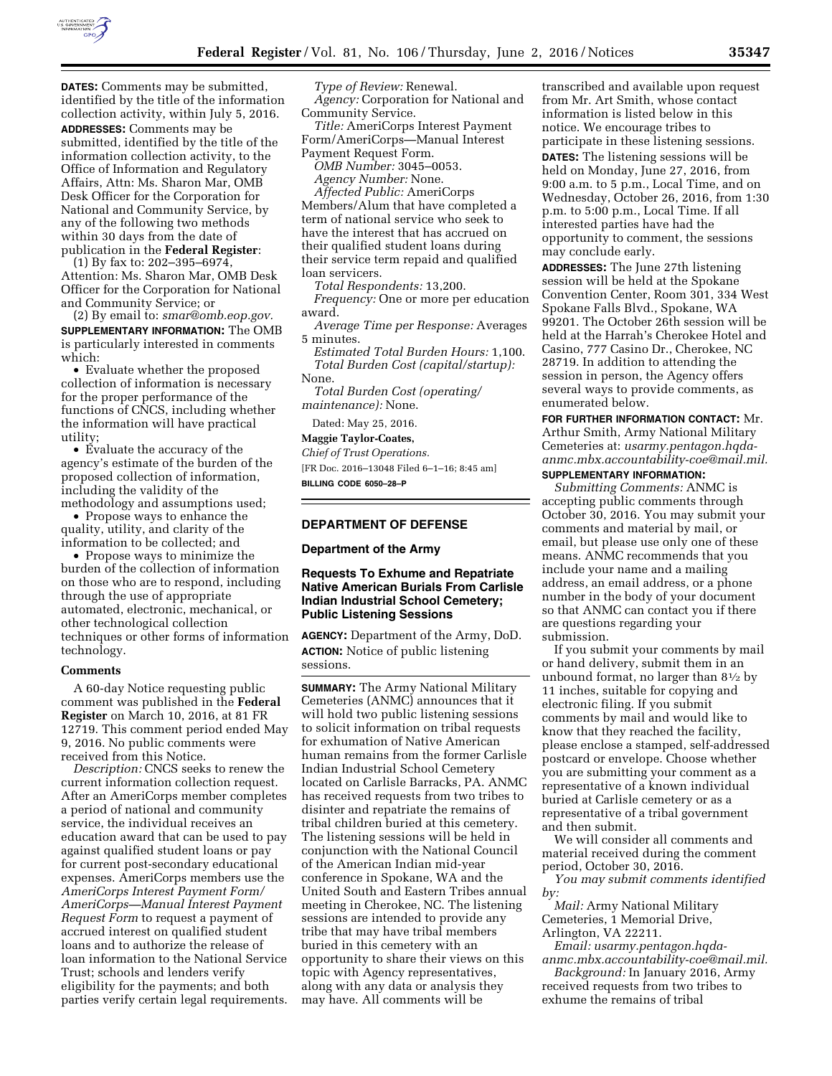

**DATES:** Comments may be submitted, identified by the title of the information collection activity, within July 5, 2016. **ADDRESSES:** Comments may be submitted, identified by the title of the information collection activity, to the Office of Information and Regulatory Affairs, Attn: Ms. Sharon Mar, OMB Desk Officer for the Corporation for National and Community Service, by any of the following two methods within 30 days from the date of publication in the **Federal Register**:

(1) By fax to: 202–395–6974, Attention: Ms. Sharon Mar, OMB Desk Officer for the Corporation for National and Community Service; or

(2) By email to: *[smar@omb.eop.gov.](mailto:smar@omb.eop.gov)*  **SUPPLEMENTARY INFORMATION:** The OMB is particularly interested in comments which:

• Evaluate whether the proposed collection of information is necessary for the proper performance of the functions of CNCS, including whether the information will have practical utility;

• Evaluate the accuracy of the agency's estimate of the burden of the proposed collection of information, including the validity of the methodology and assumptions used;

• Propose ways to enhance the quality, utility, and clarity of the information to be collected; and

• Propose ways to minimize the burden of the collection of information on those who are to respond, including through the use of appropriate automated, electronic, mechanical, or other technological collection techniques or other forms of information technology.

#### **Comments**

A 60-day Notice requesting public comment was published in the **Federal Register** on March 10, 2016, at 81 FR 12719. This comment period ended May 9, 2016. No public comments were received from this Notice.

*Description:* CNCS seeks to renew the current information collection request. After an AmeriCorps member completes a period of national and community service, the individual receives an education award that can be used to pay against qualified student loans or pay for current post-secondary educational expenses. AmeriCorps members use the *AmeriCorps Interest Payment Form/ AmeriCorps—Manual Interest Payment Request Form* to request a payment of accrued interest on qualified student loans and to authorize the release of loan information to the National Service Trust; schools and lenders verify eligibility for the payments; and both parties verify certain legal requirements.

*Type of Review:* Renewal. *Agency:* Corporation for National and Community Service.

*Title:* AmeriCorps Interest Payment Form/AmeriCorps—Manual Interest Payment Request Form.

*OMB Number:* 3045–0053.

*Agency Number:* None.

*Affected Public:* AmeriCorps Members/Alum that have completed a term of national service who seek to have the interest that has accrued on their qualified student loans during their service term repaid and qualified loan servicers.

*Total Respondents:* 13,200.

*Frequency:* One or more per education award.

*Average Time per Response:* Averages 5 minutes.

*Estimated Total Burden Hours:* 1,100. *Total Burden Cost (capital/startup):*  None.

*Total Burden Cost (operating/ maintenance):* None.

Dated: May 25, 2016.

#### **Maggie Taylor-Coates,**

*Chief of Trust Operations.* 

[FR Doc. 2016–13048 Filed 6–1–16; 8:45 am] **BILLING CODE 6050–28–P** 

## **DEPARTMENT OF DEFENSE**

### **Department of the Army**

# **Requests To Exhume and Repatriate Native American Burials From Carlisle Indian Industrial School Cemetery; Public Listening Sessions**

**AGENCY:** Department of the Army, DoD. **ACTION:** Notice of public listening sessions.

**SUMMARY:** The Army National Military Cemeteries (ANMC) announces that it will hold two public listening sessions to solicit information on tribal requests for exhumation of Native American human remains from the former Carlisle Indian Industrial School Cemetery located on Carlisle Barracks, PA. ANMC has received requests from two tribes to disinter and repatriate the remains of tribal children buried at this cemetery. The listening sessions will be held in conjunction with the National Council of the American Indian mid-year conference in Spokane, WA and the United South and Eastern Tribes annual meeting in Cherokee, NC. The listening sessions are intended to provide any tribe that may have tribal members buried in this cemetery with an opportunity to share their views on this topic with Agency representatives, along with any data or analysis they may have. All comments will be

transcribed and available upon request from Mr. Art Smith, whose contact information is listed below in this notice. We encourage tribes to participate in these listening sessions. **DATES:** The listening sessions will be held on Monday, June 27, 2016, from 9:00 a.m. to 5 p.m., Local Time, and on Wednesday, October 26, 2016, from 1:30 p.m. to 5:00 p.m., Local Time. If all interested parties have had the opportunity to comment, the sessions may conclude early.

**ADDRESSES:** The June 27th listening session will be held at the Spokane Convention Center, Room 301, 334 West Spokane Falls Blvd., Spokane, WA 99201. The October 26th session will be held at the Harrah's Cherokee Hotel and Casino, 777 Casino Dr., Cherokee, NC 28719. In addition to attending the session in person, the Agency offers several ways to provide comments, as enumerated below.

**FOR FURTHER INFORMATION CONTACT:** Mr. Arthur Smith, Army National Military Cemeteries at: *[usarmy.pentagon.hqda](mailto:usarmy.pentagon.hqda-anmc.mbx.accountability-coe@mail.mil)[anmc.mbx.accountability-coe@mail.mil.](mailto:usarmy.pentagon.hqda-anmc.mbx.accountability-coe@mail.mil)*  **SUPPLEMENTARY INFORMATION:** 

*Submitting Comments:* ANMC is accepting public comments through October 30, 2016. You may submit your comments and material by mail, or email, but please use only one of these means. ANMC recommends that you include your name and a mailing address, an email address, or a phone number in the body of your document so that ANMC can contact you if there are questions regarding your submission.

If you submit your comments by mail or hand delivery, submit them in an unbound format, no larger than 81⁄2 by 11 inches, suitable for copying and electronic filing. If you submit comments by mail and would like to know that they reached the facility, please enclose a stamped, self-addressed postcard or envelope. Choose whether you are submitting your comment as a representative of a known individual buried at Carlisle cemetery or as a representative of a tribal government and then submit.

We will consider all comments and material received during the comment period, October 30, 2016.

*You may submit comments identified by:* 

*Mail:* Army National Military Cemeteries, 1 Memorial Drive, Arlington, VA 22211.

*Email: [usarmy.pentagon.hqda](mailto:usarmy.pentagon.hqda-anmc.mbx.accountability-coe@mail.mil)[anmc.mbx.accountability-coe@mail.mil.](mailto:usarmy.pentagon.hqda-anmc.mbx.accountability-coe@mail.mil)* 

*Background:* In January 2016, Army received requests from two tribes to exhume the remains of tribal